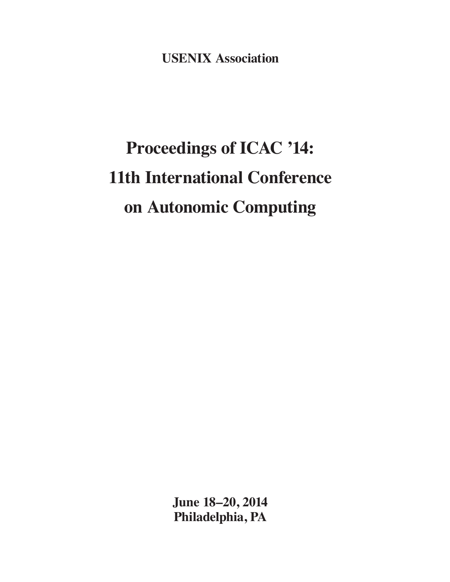**USENIX Association**

## **Proceedings of ICAC '14: 11th International Conference on Autonomic Computing**

**June 18–20, 2014 Philadelphia, PA**